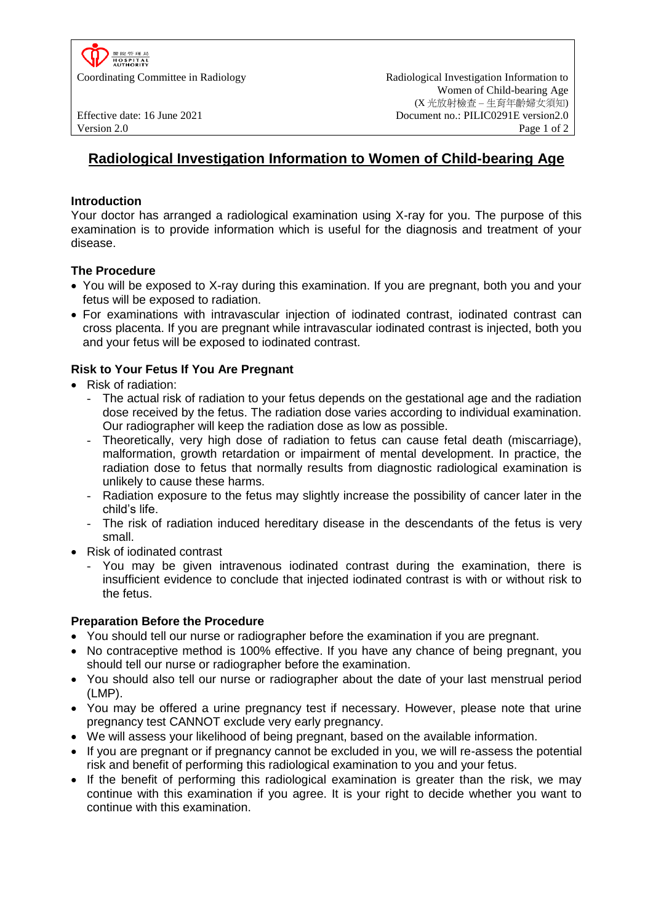

Coordinating Committee in Radiology Radiological Investigation Information to Women of Child-bearing Age (X 光放射檢查 – 生育年齡婦女須知) Effective date: 16 June 2021 Document no.: PILIC0291E version2.0 Version 2.0 Page 1 of 2

# **Radiological Investigation Information to Women of Child-bearing Age**

## **Introduction**

Your doctor has arranged a radiological examination using X-ray for you. The purpose of this examination is to provide information which is useful for the diagnosis and treatment of your disease.

## **The Procedure**

- You will be exposed to X-ray during this examination. If you are pregnant, both you and your fetus will be exposed to radiation.
- For examinations with intravascular injection of iodinated contrast, iodinated contrast can cross placenta. If you are pregnant while intravascular iodinated contrast is injected, both you and your fetus will be exposed to iodinated contrast.

# **Risk to Your Fetus If You Are Pregnant**

- Risk of radiation:
	- The actual risk of radiation to your fetus depends on the gestational age and the radiation dose received by the fetus. The radiation dose varies according to individual examination. Our radiographer will keep the radiation dose as low as possible.
	- Theoretically, very high dose of radiation to fetus can cause fetal death (miscarriage). malformation, growth retardation or impairment of mental development. In practice, the radiation dose to fetus that normally results from diagnostic radiological examination is unlikely to cause these harms.
	- Radiation exposure to the fetus may slightly increase the possibility of cancer later in the child's life.
	- The risk of radiation induced hereditary disease in the descendants of the fetus is very small.
- Risk of iodinated contrast
	- You may be given intravenous iodinated contrast during the examination, there is insufficient evidence to conclude that injected iodinated contrast is with or without risk to the fetus.

### **Preparation Before the Procedure**

- You should tell our nurse or radiographer before the examination if you are pregnant.
- No contraceptive method is 100% effective. If you have any chance of being pregnant, you should tell our nurse or radiographer before the examination.
- You should also tell our nurse or radiographer about the date of your last menstrual period (LMP).
- You may be offered a urine pregnancy test if necessary. However, please note that urine pregnancy test CANNOT exclude very early pregnancy.
- We will assess your likelihood of being pregnant, based on the available information.
- If you are pregnant or if pregnancy cannot be excluded in you, we will re-assess the potential risk and benefit of performing this radiological examination to you and your fetus.
- If the benefit of performing this radiological examination is greater than the risk, we may continue with this examination if you agree. It is your right to decide whether you want to continue with this examination.